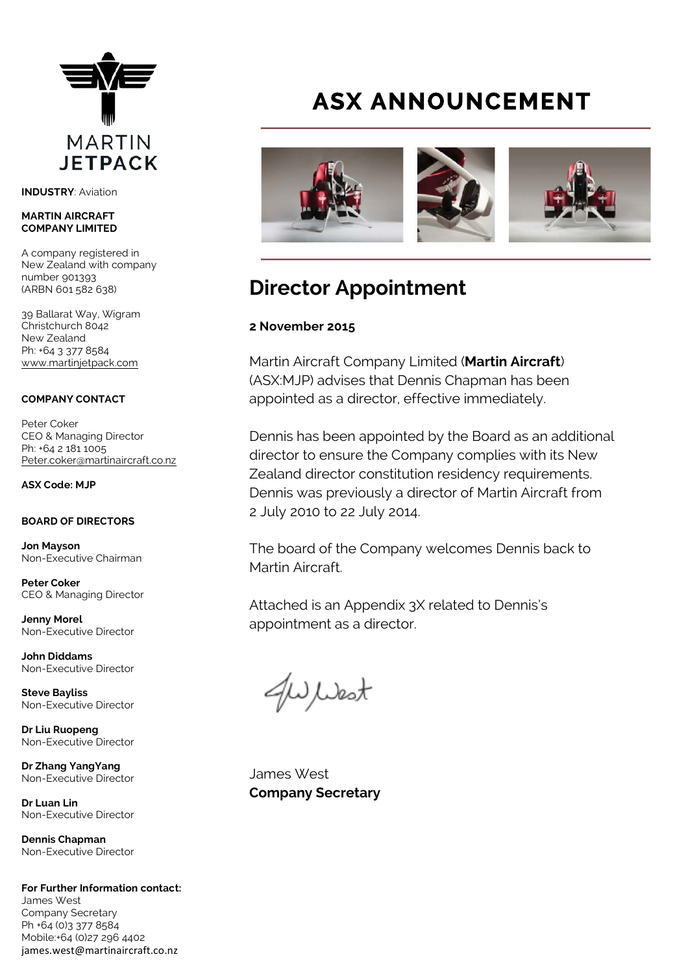

**INDUSTRY**: Aviation

### **MARTIN AIRCRAFT COMPANY LIMITED**

A company registered in New Zealand with company number 901393 (ARBN 601 582 638)

39 Ballarat Way, Wigram Christchurch 8042 New Zealand Ph: +64 3 377 8584 [www.martinjetpack.com](http://www.martinjetpack.com)

### **COMPANY CONTACT**

Peter Coker CEO & Managing Director Ph: +64 2 181 1005 [Peter.coker@martinaircraft.co.nz](mailto:Peter.coker@martinaircraft.co.nz)

**ASX Code: MJP**

### **BOARD OF DIRECTORS**

**Jon Mayson**  Non-Executive Chairman

**Peter Coker**  CEO & Managing Director

**Jenny Morel**  Non-Executive Director

**John Diddams**  Non-Executive Director

**Steve Bayliss** Non-Executive Director

**Dr Liu Ruopeng**  Non-Executive Director

**Dr Zhang YangYang**  Non-Executive Director

**Dr Luan Lin** Non-Executive Director

**Dennis Chapman** Non-Executive Director

**For Further Information contact:** James West Company Secretary Ph +64 (0)3 377 8584 Mobile:+64 (0)27 296 4402 james.west@martinaircraft.co.nz

## **ASX ANNOUNCEMENT**



## **Director Appointment**

### **2 November 2015**

Martin Aircraft Company Limited (**Martin Aircraft**) (ASX:MJP) advises that Dennis Chapman has been appointed as a director, effective immediately.

Dennis has been appointed by the Board as an additional director to ensure the Company complies with its New Zealand director constitution residency requirements. Dennis was previously a director of Martin Aircraft from 2 July 2010 to 22 July 2014.

The board of the Company welcomes Dennis back to Martin Aircraft.

Attached is an Appendix 3X related to Dennis's appointment as a director.

J West

James West **Company Secretary**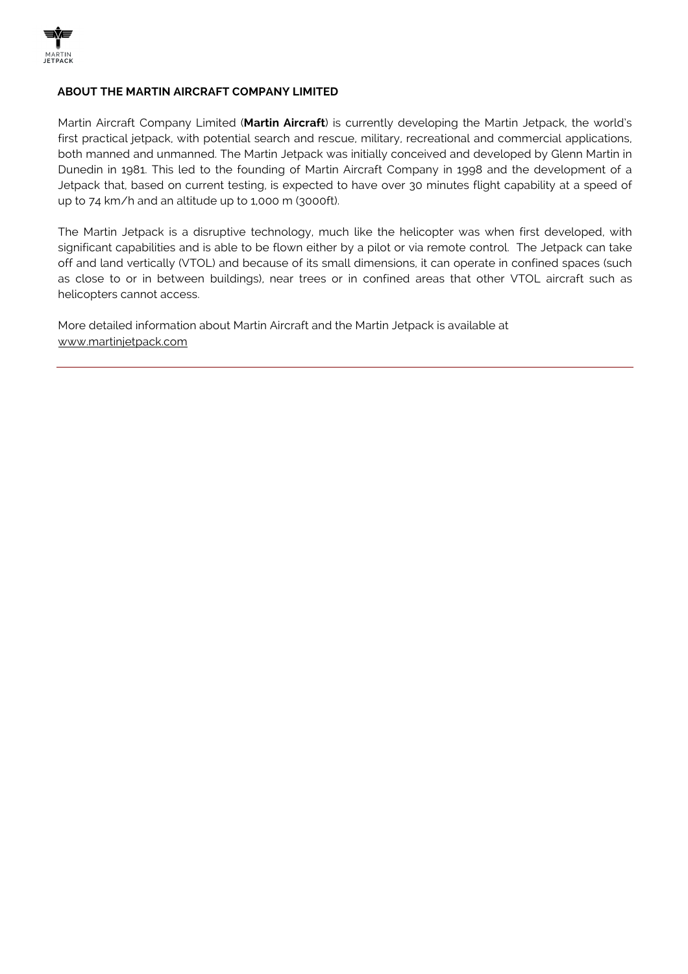

### **ABOUT THE MARTIN AIRCRAFT COMPANY LIMITED**

Martin Aircraft Company Limited (**Martin Aircraft**) is currently developing the Martin Jetpack, the world's first practical jetpack, with potential search and rescue, military, recreational and commercial applications, both manned and unmanned. The Martin Jetpack was initially conceived and developed by Glenn Martin in Dunedin in 1981. This led to the founding of Martin Aircraft Company in 1998 and the development of a Jetpack that, based on current testing, is expected to have over 30 minutes flight capability at a speed of up to 74 km/h and an altitude up to 1,000 m (3000ft).

The Martin Jetpack is a disruptive technology, much like the helicopter was when first developed, with significant capabilities and is able to be flown either by a pilot or via remote control. The Jetpack can take off and land vertically (VTOL) and because of its small dimensions, it can operate in confined spaces (such as close to or in between buildings), near trees or in confined areas that other VTOL aircraft such as helicopters cannot access.

More detailed information about Martin Aircraft and the Martin Jetpack is available at [www.martinjetpack.com](http://www.martinjetpack.com)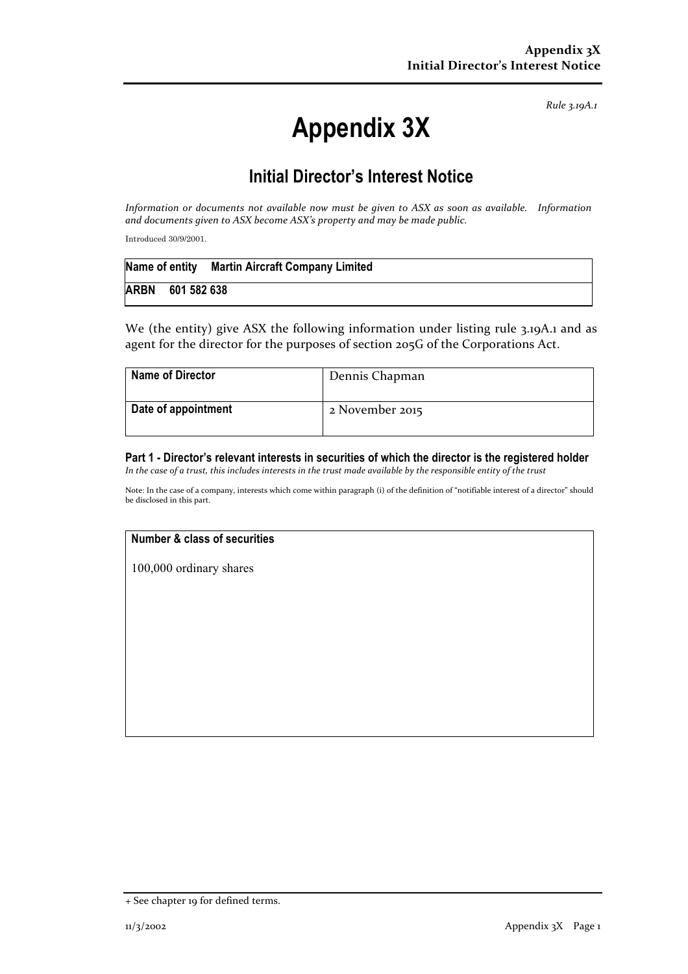*Rule 3.19A.1*

# **Appendix 3X**

### **Initial Director's Interest Notice**

*Information* or documents not available now must be given to ASX as soon as available. Information and documents given to ASX become ASX's property and may be made public.

Introduced 30/9/2001.

|             |             | Name of entity Martin Aircraft Company Limited |
|-------------|-------------|------------------------------------------------|
| <b>ARBN</b> | 601 582 638 |                                                |

We (the entity) give ASX the following information under listing rule 3.19A.1 and as agent for the director for the purposes of section 205G of the Corporations Act.

| <b>Name of Director</b> | Dennis Chapman  |
|-------------------------|-----------------|
| Date of appointment     | 2 November 2015 |

#### **Part 1 - Director's relevant interests in securities of which the director is the registered holder** *In the case of a trust, this includes interests in the trust made available by the responsible entity of the trust*

Note: In the case of a company, interests which come within paragraph (i) of the definition of "notifiable interest of a director" should be disclosed in this part.

### **Number & class of securities**

100,000 ordinary shares

<sup>+</sup> See chapter 19 for defined terms.